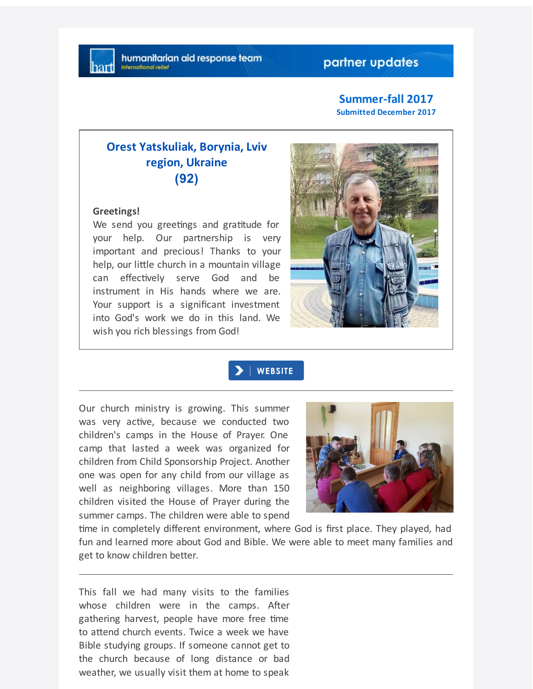# partner updates

#### **Summer-fall 2017 Submitted December 2017**

# **Orest Yatskuliak, Borynia, Lviv region, Ukraine (92)**

#### **Greetings!**

We send you greetings and gratitude for your help. Our partnership is very important and precious! Thanks to your help, our little church in a mountain village can effectively serve God and be instrument in His hands where we are. Your support is a significant investment into God's work we do in this land. We wish you rich blessings from God!



## **WEBSITE**

Our church ministry is growing. This summer was very active, because we conducted two children's camps in the House of Prayer. One camp that lasted a week was organized for children from Child Sponsorship Project. Another one was open for any child from our village as well as neighboring villages. More than 150 children visited the House of Prayer during the summer camps. The children were able to spend



time in completely different environment, where God is first place. They played, had fun and learned more about God and Bible. We were able to meet many families and get to know children better.

This fall we had many visits to the families whose children were in the camps. After gathering harvest, people have more free time to attend church events. Twice a week we have Bible studying groups. If someone cannot get to the church because of long distance or bad weather, we usually visit them at home to speak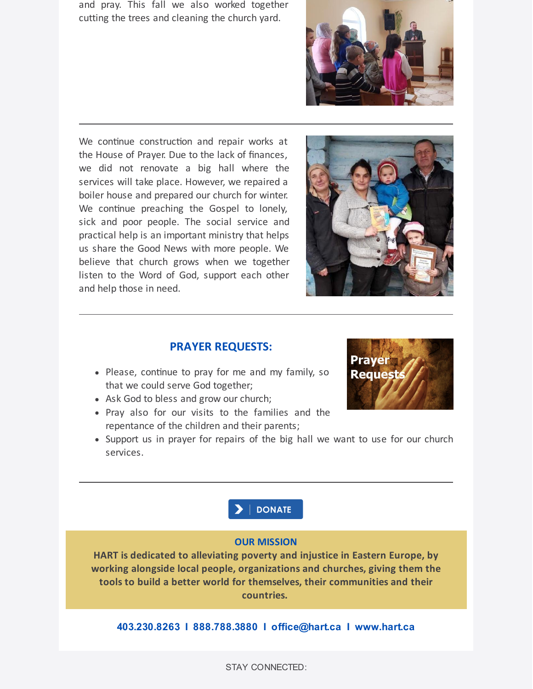and pray. This fall we also worked together cutting the trees and cleaning the church yard.

We continue construction and repair works at the House of Prayer. Due to the lack of finances, we did not renovate a big hall where the services will take place. However, we repaired a boiler house and prepared our church for winter. We continue preaching the Gospel to lonely, sick and poor people. The social service and practical help is an important ministry that helps us share the Good News with more people. We believe that church grows when we together listen to the Word of God, support each other and help those in need.





# **PRAYER REQUESTS:**

- Please, continue to pray for me and my family, so that we could serve God together;
- Ask God to bless and grow our church;
- Pray also for our visits to the families and the repentance of the children and their parents;
- Support us in prayer for repairs of the big hall we want to use for our church services.





### **OUR MISSION**

**HART is dedicated to alleviating poverty and injustice in Eastern Europe, by working alongside local people, organizations and churches, giving them the tools to build a better world for themselves, their communities and their countries.**

**403.230.8263 I 888.788.3880 I office@hart.ca I www.hart.ca**

STAY CONNECTED: